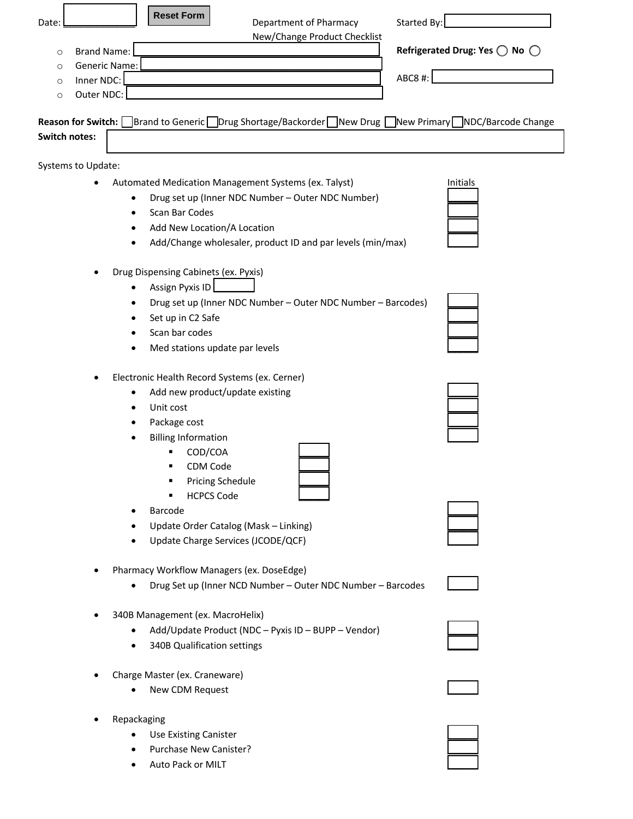| <b>Reset Form</b><br>Started By:<br>Department of Pharmacy<br>Date:                                                                                                                                                                                                         |                                                 |
|-----------------------------------------------------------------------------------------------------------------------------------------------------------------------------------------------------------------------------------------------------------------------------|-------------------------------------------------|
| New/Change Product Checklist<br><b>Brand Name:</b><br>$\circ$<br>Generic Name:<br>$\circ$<br>ABC8 #:<br>Inner NDC:<br>O<br>Outer NDC:<br>$\circ$                                                                                                                            | Refrigerated Drug: Yes $\bigcirc$ No $\bigcirc$ |
| Reason for Switch: Brand to Generic Drug Shortage/Backorder New Drug New Primary NDC/Barcode Change<br><b>Switch notes:</b>                                                                                                                                                 |                                                 |
| Systems to Update:                                                                                                                                                                                                                                                          |                                                 |
| Automated Medication Management Systems (ex. Talyst)<br>Drug set up (Inner NDC Number - Outer NDC Number)<br>Scan Bar Codes<br>Add New Location/A Location                                                                                                                  | Initials                                        |
| Add/Change wholesaler, product ID and par levels (min/max)<br>Drug Dispensing Cabinets (ex. Pyxis)<br>Assign Pyxis ID<br>Drug set up (Inner NDC Number - Outer NDC Number - Barcodes)<br>$\bullet$<br>Set up in C2 Safe<br>Scan bar codes<br>Med stations update par levels |                                                 |
| Electronic Health Record Systems (ex. Cerner)<br>٠<br>Add new product/update existing<br>Unit cost<br>Package cost<br><b>Billing Information</b><br>COD/COA<br>٠<br>CDM Code                                                                                                |                                                 |
| <b>Pricing Schedule</b><br>٠<br><b>HCPCS Code</b><br>٠<br>Barcode<br>Update Order Catalog (Mask - Linking)<br>Update Charge Services (JCODE/QCF)                                                                                                                            |                                                 |
| Pharmacy Workflow Managers (ex. DoseEdge)<br>Drug Set up (Inner NCD Number - Outer NDC Number - Barcodes                                                                                                                                                                    |                                                 |
| 340B Management (ex. MacroHelix)<br>Add/Update Product (NDC - Pyxis ID - BUPP - Vendor)<br>340B Qualification settings                                                                                                                                                      |                                                 |
| Charge Master (ex. Craneware)<br>New CDM Request                                                                                                                                                                                                                            |                                                 |
| Repackaging<br>Use Existing Canister<br>Purchase New Canister?                                                                                                                                                                                                              |                                                 |

• Auto Pack or MILT